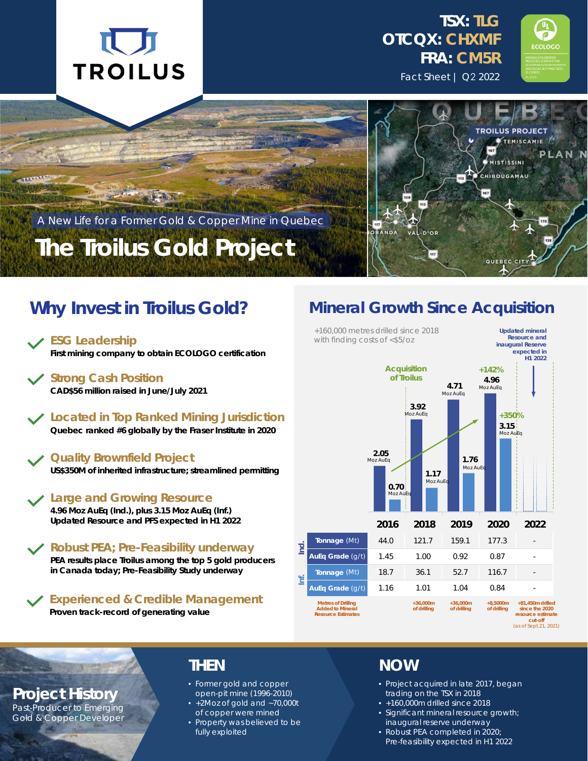







## **The Troilus Gold Project**

A New Life for a Former Gold & Copper Mine in Quebec

### **Why Invest in Troilus Gold?**

**First mining company to obtain ECOLOGO certification**

**Strong Cash Position CAD\$56 million raised in June/July 2021**

**Located in Top Ranked Mining Jurisdiction Quebec ranked #6 globally by the Fraser Institute in 2020**

#### **Quality Brownfield Project**

**US\$350M of inherited infrastructure; streamlined permitting**

**Large and Growing Resource**

**4.96 Moz AuEq (Ind.), plus 3.15 Moz AuEq (Inf.) Updated Resource and PFS expected in H1 2022**

**Robust PEA; Pre-Feasibility underway PEA results place Troilus among the top 5 gold producers in Canada today; Pre-Feasibility Study underway**

**Experienced & Credible Management Proven track-record of generating value**

### **Mineral Growth Since Acquisition**



**Project History**

Past-Producer to Emerging Gold & Copper Developer

### **THEN**

- Former gold and copper open-pit mine (1996-2010)
- +2Moz of gold and ~70,000t of copper were mined
- Property was believed to be fully exploited

#### **NOW**

- Project acquired in late 2017, began trading on the TSX in 2018
- +160,000m drilled since 2018
- Significant mineral resource growth; inaugural reserve underway
- Robust PEA completed in 2020; Pre-feasibility expected in H1 2022